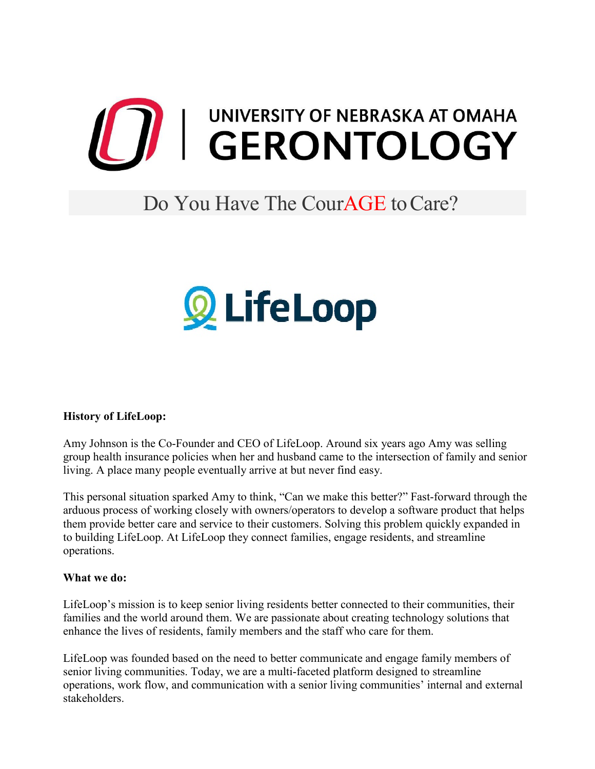

## Do You Have The Cour**AGE** to Care?



## **History of LifeLoop:**

Amy Johnson is the Co-Founder and CEO of LifeLoop. Around six years ago Amy was selling group health insurance policies when her and husband came to the intersection of family and senior living. A place many people eventually arrive at but never find easy.

This personal situation sparked Amy to think, "Can we make this better?" Fast-forward through the arduous process of working closely with owners/operators to develop a software product that helps them provide better care and service to their customers. Solving this problem quickly expanded in to building LifeLoop. At LifeLoop they connect families, engage residents, and streamline operations.

## **What we do:**

LifeLoop's mission is to keep senior living residents better connected to their communities, their families and the world around them. We are passionate about creating technology solutions that enhance the lives of residents, family members and the staff who care for them.

LifeLoop was founded based on the need to better communicate and engage family members of senior living communities. Today, we are a multi-faceted platform designed to streamline operations, work flow, and communication with a senior living communities' internal and external stakeholders.